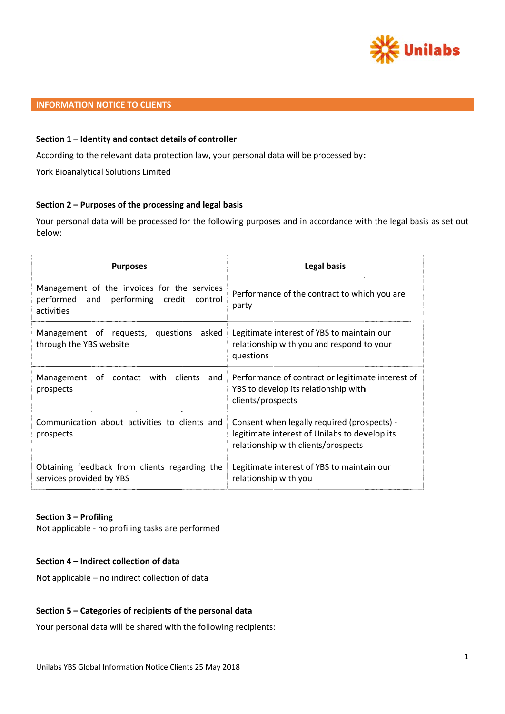

# **INFORMATION NOTICE TO CLIENTS**

## Section 1 - Identity and contact details of controller

According to the relevant data protection law, your personal data will be processed by:

York Bioanalytical Solutions Limited

## Section 2 - Purposes of the processing and legal basis

Your personal data will be processed for the following purposes and in accordance with the legal basis as set out below:

| <b>Purposes</b>                                                                                         | <b>Legal basis</b>                                                                                                                  |
|---------------------------------------------------------------------------------------------------------|-------------------------------------------------------------------------------------------------------------------------------------|
| Management of the invoices for the services<br>performed and performing credit<br>control<br>activities | Performance of the contract to which you are<br>party                                                                               |
| Management of requests, questions                                                                       | Legitimate interest of YBS to maintain our                                                                                          |
| asked                                                                                                   | relationship with you and respond to your                                                                                           |
| through the YBS website                                                                                 | questions                                                                                                                           |
| Management of contact with clients                                                                      | Performance of contract or legitimate interest of                                                                                   |
| and                                                                                                     | YBS to develop its relationship with                                                                                                |
| prospects                                                                                               | clients/prospects                                                                                                                   |
| Communication about activities to clients and<br>prospects                                              | Consent when legally required (prospects) -<br>legitimate interest of Unilabs to develop its<br>relationship with clients/prospects |
| Obtaining feedback from clients regarding the                                                           | Legitimate interest of YBS to maintain our                                                                                          |
| services provided by YBS                                                                                | relationship with you                                                                                                               |

### Section 3 - Profiling

Not applicable - no profiling tasks are performed

## Section 4 - Indirect collection of data

Not applicable - no indirect collection of data

### Section 5 - Categories of recipients of the personal data

Your personal data will be shared with the following recipients: